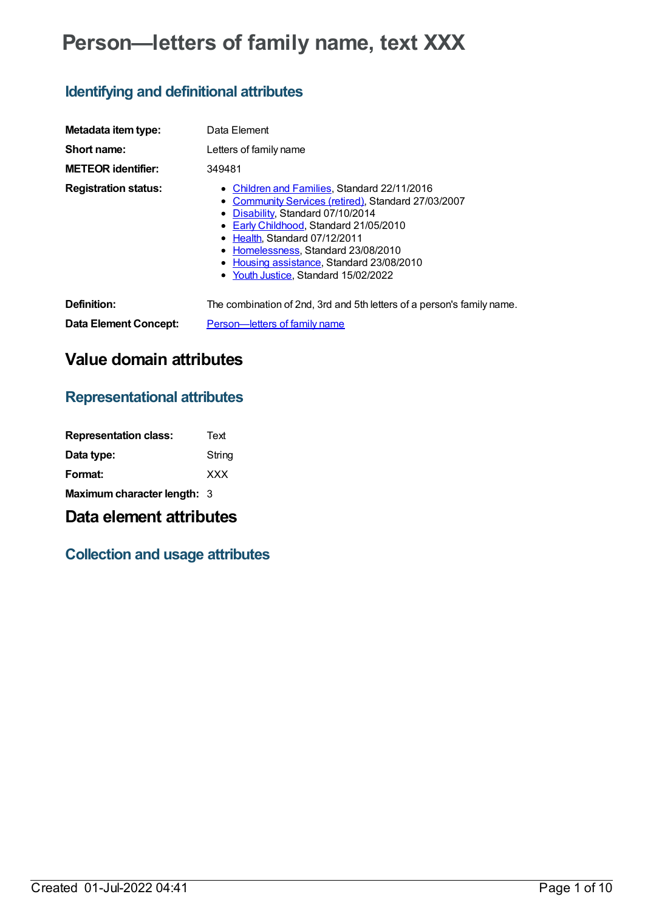# **Person—letters of family name, text XXX**

# **Identifying and definitional attributes**

| Metadata item type:         | Data Element                                                                                                                                                                                                                                                                                                                                  |
|-----------------------------|-----------------------------------------------------------------------------------------------------------------------------------------------------------------------------------------------------------------------------------------------------------------------------------------------------------------------------------------------|
| Short name:                 | Letters of family name                                                                                                                                                                                                                                                                                                                        |
| <b>METEOR identifier:</b>   | 349481                                                                                                                                                                                                                                                                                                                                        |
| <b>Registration status:</b> | • Children and Families, Standard 22/11/2016<br>• Community Services (retired), Standard 27/03/2007<br>• Disability, Standard 07/10/2014<br>Early Childhood, Standard 21/05/2010<br>• Health, Standard 07/12/2011<br>• Homelessness, Standard 23/08/2010<br>• Housing assistance, Standard 23/08/2010<br>• Youth Justice, Standard 15/02/2022 |
| Definition:                 | The combination of 2nd, 3rd and 5th letters of a person's family name.                                                                                                                                                                                                                                                                        |
| Data Element Concept:       | Person-letters of family name                                                                                                                                                                                                                                                                                                                 |

# **Value domain attributes**

## **Representational attributes**

| <b>Representation class:</b> | Text       |
|------------------------------|------------|
| Data type:                   | String     |
| Format:                      | <b>XXX</b> |
| Maximum character length: 3  |            |

## **Data element attributes**

# **Collection and usage attributes**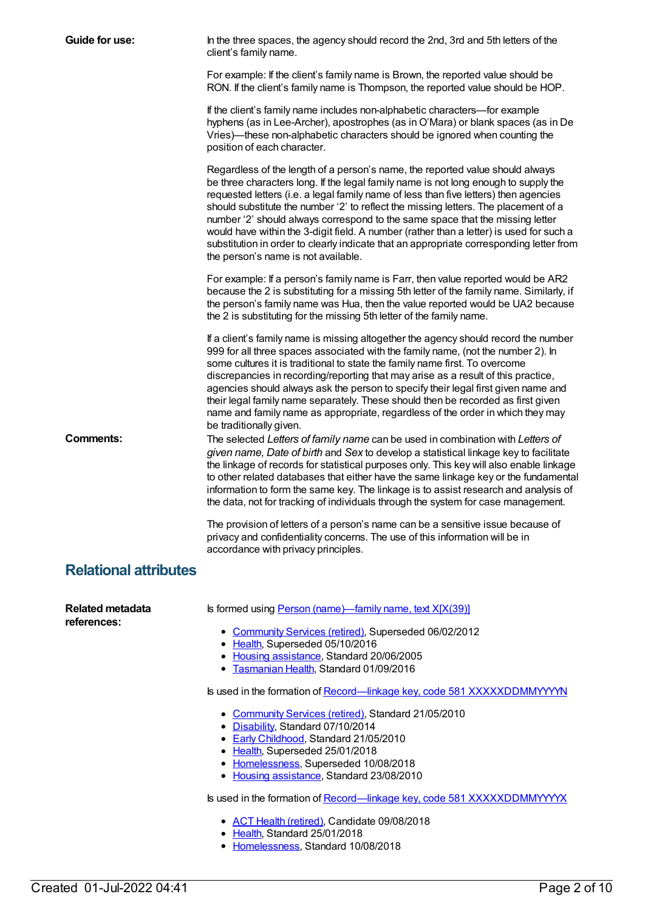| Guide for use:                  | In the three spaces, the agency should record the 2nd, 3rd and 5th letters of the<br>client's family name.                                                                                                                                                                                                                                                                                                                                                                                                                                                                                                                                                        |
|---------------------------------|-------------------------------------------------------------------------------------------------------------------------------------------------------------------------------------------------------------------------------------------------------------------------------------------------------------------------------------------------------------------------------------------------------------------------------------------------------------------------------------------------------------------------------------------------------------------------------------------------------------------------------------------------------------------|
|                                 | For example: If the client's family name is Brown, the reported value should be<br>RON. If the client's family name is Thompson, the reported value should be HOP.                                                                                                                                                                                                                                                                                                                                                                                                                                                                                                |
|                                 | If the client's family name includes non-alphabetic characters-for example<br>hyphens (as in Lee-Archer), apostrophes (as in O'Mara) or blank spaces (as in De<br>Vries)—these non-alphabetic characters should be ignored when counting the<br>position of each character.                                                                                                                                                                                                                                                                                                                                                                                       |
|                                 | Regardless of the length of a person's name, the reported value should always<br>be three characters long. If the legal family name is not long enough to supply the<br>requested letters (i.e. a legal family name of less than five letters) then agencies<br>should substitute the number '2' to reflect the missing letters. The placement of a<br>number '2' should always correspond to the same space that the missing letter<br>would have within the 3-digit field. A number (rather than a letter) is used for such a<br>substitution in order to clearly indicate that an appropriate corresponding letter from<br>the person's name is not available. |
|                                 | For example: If a person's family name is Farr, then value reported would be AR2<br>because the 2 is substituting for a missing 5th letter of the family name. Similarly, if<br>the person's family name was Hua, then the value reported would be UA2 because<br>the 2 is substituting for the missing 5th letter of the family name.                                                                                                                                                                                                                                                                                                                            |
|                                 | If a client's family name is missing altogether the agency should record the number<br>999 for all three spaces associated with the family name, (not the number 2). In<br>some cultures it is traditional to state the family name first. To overcome<br>discrepancies in recording/reporting that may arise as a result of this practice,<br>agencies should always ask the person to specify their legal first given name and<br>their legal family name separately. These should then be recorded as first given<br>name and family name as appropriate, regardless of the order in which they may<br>be traditionally given.                                 |
| <b>Comments:</b>                | The selected Letters of family name can be used in combination with Letters of<br>given name, Date of birth and Sex to develop a statistical linkage key to facilitate<br>the linkage of records for statistical purposes only. This key will also enable linkage<br>to other related databases that either have the same linkage key or the fundamental<br>information to form the same key. The linkage is to assist research and analysis of<br>the data, not for tracking of individuals through the system for case management.                                                                                                                              |
|                                 | The provision of letters of a person's name can be a sensitive issue because of<br>privacy and confidentiality concerns. The use of this information will be in<br>accordance with privacy principles.                                                                                                                                                                                                                                                                                                                                                                                                                                                            |
| <b>Relational attributes</b>    |                                                                                                                                                                                                                                                                                                                                                                                                                                                                                                                                                                                                                                                                   |
| Related metadata<br>references: | Is formed using Person (name)—family name, text X[X(39)]                                                                                                                                                                                                                                                                                                                                                                                                                                                                                                                                                                                                          |
|                                 | • Community Services (retired), Superseded 06/02/2012<br>• Health, Superseded 05/10/2016<br>• Housing assistance, Standard 20/06/2005<br>• Tasmanian Health, Standard 01/09/2016                                                                                                                                                                                                                                                                                                                                                                                                                                                                                  |
|                                 | Is used in the formation of Record-linkage key, code 581 XXXXXDDMMYYYYN                                                                                                                                                                                                                                                                                                                                                                                                                                                                                                                                                                                           |
|                                 | • Community Services (retired), Standard 21/05/2010<br>• Disability, Standard 07/10/2014<br>• Early Childhood, Standard 21/05/2010<br>• Health, Superseded 25/01/2018<br>• Homelessness, Superseded 10/08/2018<br>• Housing assistance, Standard 23/08/2010                                                                                                                                                                                                                                                                                                                                                                                                       |
|                                 | Is used in the formation of Record-linkage key, code 581 XXXXXDDMMYYYYX                                                                                                                                                                                                                                                                                                                                                                                                                                                                                                                                                                                           |
|                                 | • ACT Health (retired), Candidate 09/08/2018<br>• Health, Standard 25/01/2018<br>• Homelessness, Standard 10/08/2018                                                                                                                                                                                                                                                                                                                                                                                                                                                                                                                                              |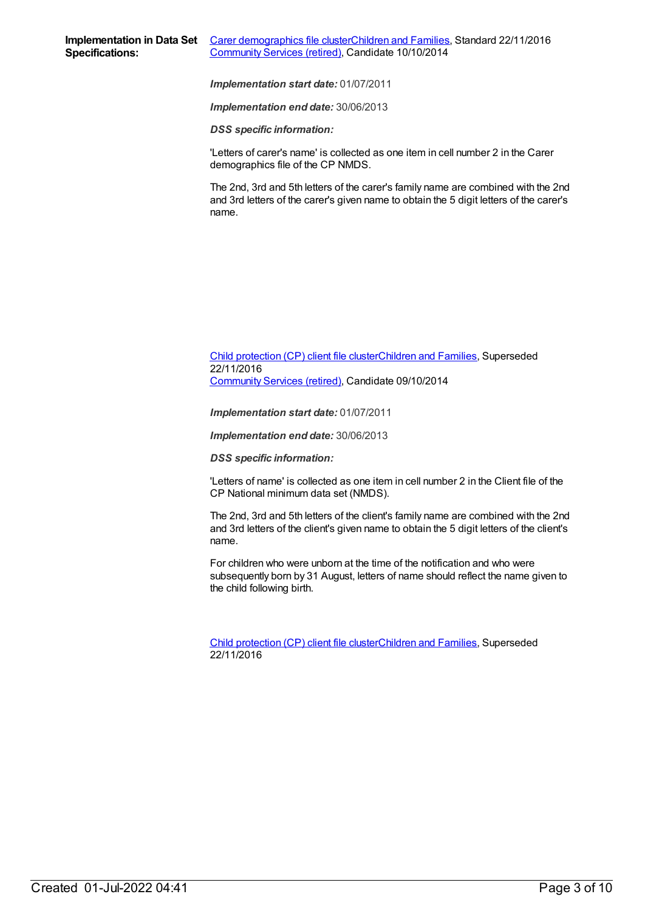*Implementation end date:* 30/06/2013

*DSS specific information:*

'Letters of carer's name' is collected as one item in cell number 2 in the Carer demographics file of the CP NMDS.

The 2nd, 3rd and 5th letters of the carer's family name are combined with the 2nd and 3rd letters of the carer's given name to obtain the 5 digit letters of the carer's name.

#### Child [protection](https://meteor.aihw.gov.au/content/492589) (CP) client file clusterChildren and [Families](https://meteor.aihw.gov.au/RegistrationAuthority/17), Superseded 22/11/2016 [Community](https://meteor.aihw.gov.au/RegistrationAuthority/1) Services (retired), Candidate 09/10/2014

*Implementation start date:* 01/07/2011

*Implementation end date:* 30/06/2013

*DSS specific information:*

'Letters of name' is collected as one item in cell number 2 in the Client file of the CP National minimum data set (NMDS).

The 2nd, 3rd and 5th letters of the client's family name are combined with the 2nd and 3rd letters of the client's given name to obtain the 5 digit letters of the client's name.

For children who were unborn at the time of the notification and who were subsequently born by 31 August, letters of name should reflect the name given to the child following birth.

Child [protection](https://meteor.aihw.gov.au/content/656475) (CP) client file clusterChildren and [Families](https://meteor.aihw.gov.au/RegistrationAuthority/17), Superseded 22/11/2016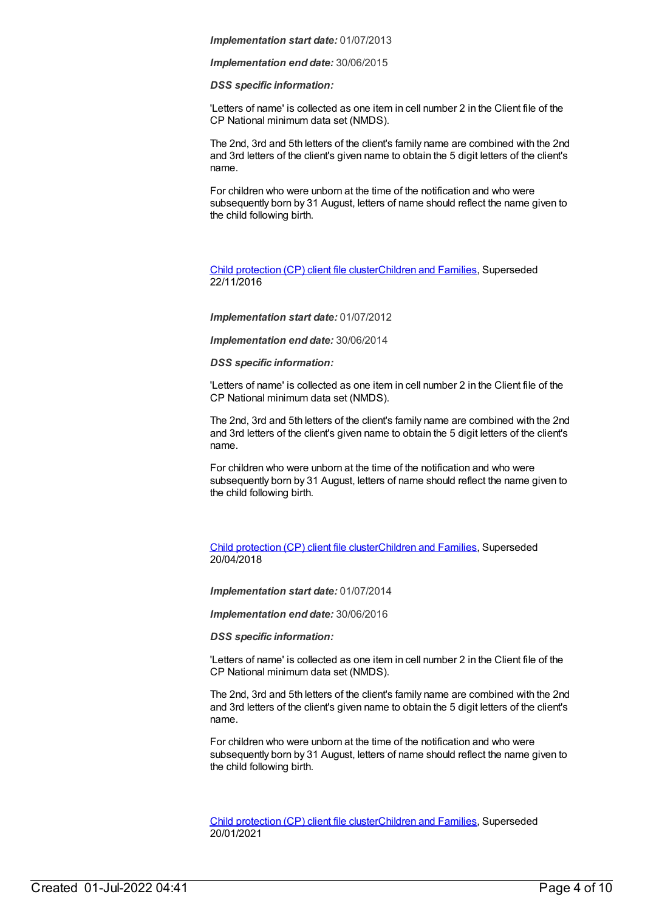*Implementation end date:* 30/06/2015

*DSS specific information:*

'Letters of name' is collected as one item in cell number 2 in the Client file of the CP National minimum data set (NMDS).

The 2nd, 3rd and 5th letters of the client's family name are combined with the 2nd and 3rd letters of the client's given name to obtain the 5 digit letters of the client's name.

For children who were unborn at the time of the notification and who were subsequently born by 31 August, letters of name should reflect the name given to the child following birth.

Child [protection](https://meteor.aihw.gov.au/content/655203) (CP) client file clusterChildren and [Families](https://meteor.aihw.gov.au/RegistrationAuthority/17), Superseded 22/11/2016

*Implementation start date:* 01/07/2012

*Implementation end date:* 30/06/2014

#### *DSS specific information:*

'Letters of name' is collected as one item in cell number 2 in the Client file of the CP National minimum data set (NMDS).

The 2nd, 3rd and 5th letters of the client's family name are combined with the 2nd and 3rd letters of the client's given name to obtain the 5 digit letters of the client's name.

For children who were unborn at the time of the notification and who were subsequently born by 31 August, letters of name should reflect the name given to the child following birth.

Child [protection](https://meteor.aihw.gov.au/content/656496) (CP) client file clusterChildren and [Families](https://meteor.aihw.gov.au/RegistrationAuthority/17), Superseded 20/04/2018

*Implementation start date:* 01/07/2014

*Implementation end date:* 30/06/2016

*DSS specific information:*

'Letters of name' is collected as one item in cell number 2 in the Client file of the CP National minimum data set (NMDS).

The 2nd, 3rd and 5th letters of the client's family name are combined with the 2nd and 3rd letters of the client's given name to obtain the 5 digit letters of the client's name.

For children who were unborn at the time of the notification and who were subsequently born by 31 August, letters of name should reflect the name given to the child following birth.

Child [protection](https://meteor.aihw.gov.au/content/688429) (CP) client file clusterChildren and [Families](https://meteor.aihw.gov.au/RegistrationAuthority/17), Superseded 20/01/2021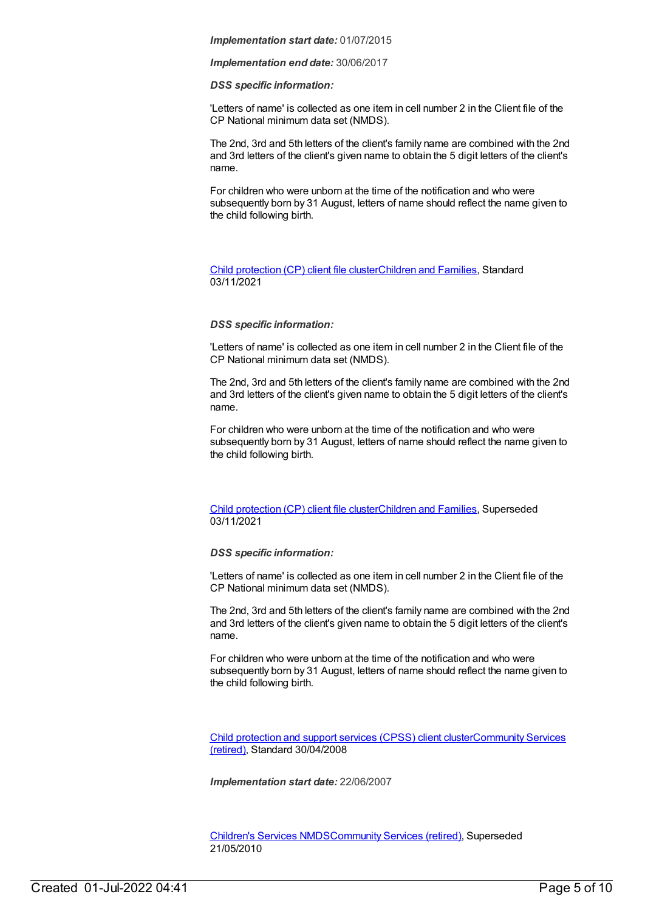*Implementation end date:* 30/06/2017

#### *DSS specific information:*

'Letters of name' is collected as one item in cell number 2 in the Client file of the CP National minimum data set (NMDS).

The 2nd, 3rd and 5th letters of the client's family name are combined with the 2nd and 3rd letters of the client's given name to obtain the 5 digit letters of the client's name.

For children who were unborn at the time of the notification and who were subsequently born by 31 August, letters of name should reflect the name given to the child following birth.

#### Child [protection](https://meteor.aihw.gov.au/content/748904) (CP) client file clusterChildren and [Families](https://meteor.aihw.gov.au/RegistrationAuthority/17), Standard 03/11/2021

#### *DSS specific information:*

'Letters of name' is collected as one item in cell number 2 in the Client file of the CP National minimum data set (NMDS).

The 2nd, 3rd and 5th letters of the client's family name are combined with the 2nd and 3rd letters of the client's given name to obtain the 5 digit letters of the client's name.

For children who were unborn at the time of the notification and who were subsequently born by 31 August, letters of name should reflect the name given to the child following birth.

#### Child [protection](https://meteor.aihw.gov.au/content/706958) (CP) client file clusterChildren and [Families](https://meteor.aihw.gov.au/RegistrationAuthority/17), Superseded 03/11/2021

#### *DSS specific information:*

'Letters of name' is collected as one item in cell number 2 in the Client file of the CP National minimum data set (NMDS).

The 2nd, 3rd and 5th letters of the client's family name are combined with the 2nd and 3rd letters of the client's given name to obtain the 5 digit letters of the client's name.

For children who were unborn at the time of the notification and who were subsequently born by 31 August, letters of name should reflect the name given to the child following birth.

Child [protection](https://meteor.aihw.gov.au/content/355790) and support services (CPSS) client [clusterCommunity](https://meteor.aihw.gov.au/RegistrationAuthority/1) Services (retired), Standard 30/04/2008

*Implementation start date:* 22/06/2007

[Children's](https://meteor.aihw.gov.au/content/308217) Services NMD[SCommunity](https://meteor.aihw.gov.au/RegistrationAuthority/1) Services (retired), Superseded 21/05/2010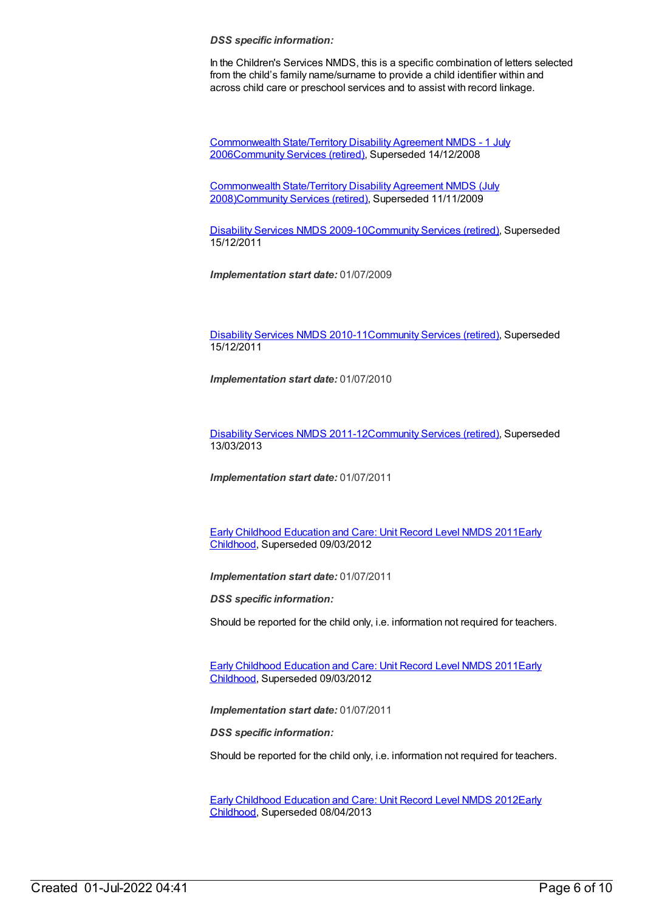#### *DSS specific information:*

In the Children's Services NMDS, this is a specific combination of letters selected from the child's family name/surname to provide a child identifier within and across child care or preschool services and to assist with record linkage.

[Commonwealth](https://meteor.aihw.gov.au/content/317350) State/Territory Disability Agreement NMDS - 1 July 200[6Community](https://meteor.aihw.gov.au/RegistrationAuthority/1) Services (retired), Superseded 14/12/2008

[Commonwealth](https://meteor.aihw.gov.au/content/372123) State/Territory Disability Agreement NMDS (July 2008[\)Community](https://meteor.aihw.gov.au/RegistrationAuthority/1) Services (retired), Superseded 11/11/2009

[Disability](https://meteor.aihw.gov.au/content/386485) Services NMDS 2009-10[Community](https://meteor.aihw.gov.au/RegistrationAuthority/1) Services (retired), Superseded 15/12/2011

*Implementation start date:* 01/07/2009

[Disability](https://meteor.aihw.gov.au/content/428708) Services NMDS 2010-11[Community](https://meteor.aihw.gov.au/RegistrationAuthority/1) Services (retired), Superseded 15/12/2011

*Implementation start date:* 01/07/2010

[Disability](https://meteor.aihw.gov.au/content/461636) Services NMDS 2011-12[Community](https://meteor.aihw.gov.au/RegistrationAuthority/1) Services (retired), Superseded 13/03/2013

*Implementation start date:* 01/07/2011

Early Childhood [Education](https://meteor.aihw.gov.au/content/438006) and Care: Unit Record Level NMDS 2011Early Childhood, [Superseded](https://meteor.aihw.gov.au/RegistrationAuthority/13) 09/03/2012

*Implementation start date:* 01/07/2011

*DSS specific information:*

Should be reported for the child only, i.e. information not required for teachers.

Early Childhood [Education](https://meteor.aihw.gov.au/content/438006) and Care: Unit Record Level NMDS 2011Early Childhood, [Superseded](https://meteor.aihw.gov.au/RegistrationAuthority/13) 09/03/2012

*Implementation start date:* 01/07/2011

*DSS specific information:*

Should be reported for the child only, i.e. information not required for teachers.

Early Childhood [Education](https://meteor.aihw.gov.au/content/466523) and Care: Unit Record Level NMDS 2012Early Childhood, [Superseded](https://meteor.aihw.gov.au/RegistrationAuthority/13) 08/04/2013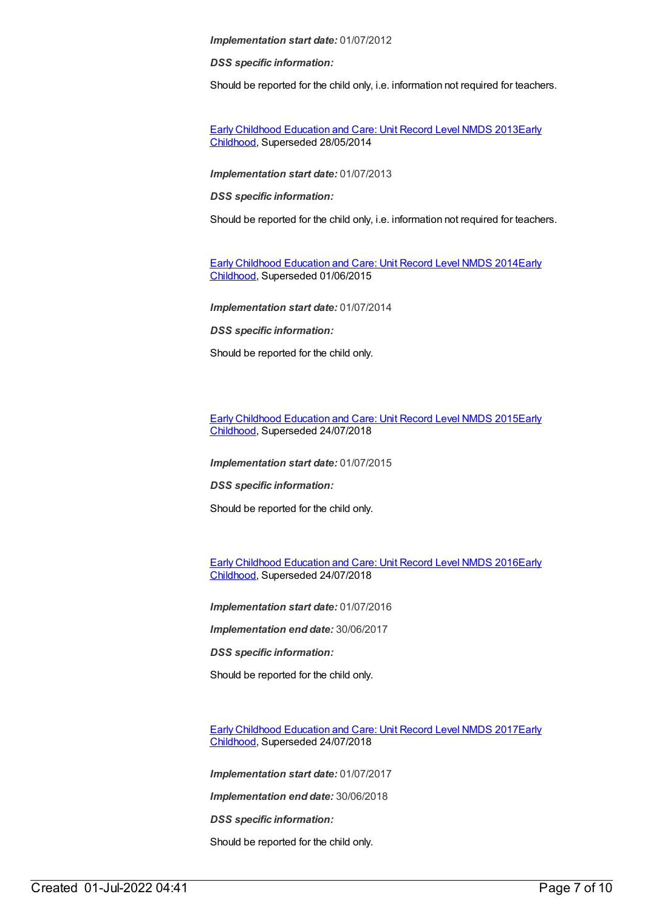*DSS specific information:*

Should be reported for the child only, i.e. information not required for teachers.

Early Childhood [Education](https://meteor.aihw.gov.au/content/494147) and Care: Unit Record Level NMDS 2013Early Childhood, [Superseded](https://meteor.aihw.gov.au/RegistrationAuthority/13) 28/05/2014

*Implementation start date:* 01/07/2013

*DSS specific information:*

Should be reported for the child only, i.e. information not required for teachers.

Early Childhood [Education](https://meteor.aihw.gov.au/content/555380) and Care: Unit Record Level NMDS 2014Early Childhood, [Superseded](https://meteor.aihw.gov.au/RegistrationAuthority/13) 01/06/2015

*Implementation start date:* 01/07/2014

*DSS specific information:*

Should be reported for the child only.

Early Childhood [Education](https://meteor.aihw.gov.au/content/602247) and Care: Unit Record Level NMDS 2015Early Childhood, [Superseded](https://meteor.aihw.gov.au/RegistrationAuthority/13) 24/07/2018

*Implementation start date:* 01/07/2015

*DSS specific information:*

Should be reported for the child only.

Early Childhood [Education](https://meteor.aihw.gov.au/content/686022) and Care: Unit Record Level NMDS 2016Early Childhood, [Superseded](https://meteor.aihw.gov.au/RegistrationAuthority/13) 24/07/2018

*Implementation start date:* 01/07/2016

*Implementation end date:* 30/06/2017

*DSS specific information:*

Should be reported for the child only.

Early Childhood [Education](https://meteor.aihw.gov.au/content/686135) and Care: Unit Record Level NMDS 2017Early Childhood, [Superseded](https://meteor.aihw.gov.au/RegistrationAuthority/13) 24/07/2018

*Implementation start date:* 01/07/2017

*Implementation end date:* 30/06/2018

*DSS specific information:*

Should be reported for the child only.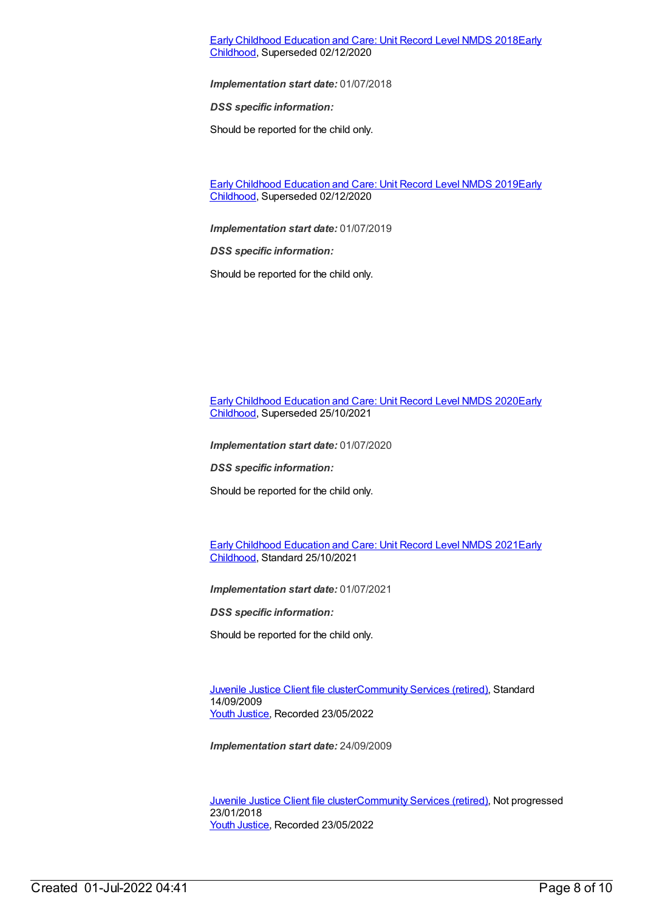#### Early Childhood [Education](https://meteor.aihw.gov.au/content/686221) and Care: Unit Record Level NMDS 2018Early Childhood, [Superseded](https://meteor.aihw.gov.au/RegistrationAuthority/13) 02/12/2020

*Implementation start date:* 01/07/2018

*DSS specific information:*

Should be reported for the child only.

Early Childhood [Education](https://meteor.aihw.gov.au/content/731157) and Care: Unit Record Level NMDS 2019Early Childhood, [Superseded](https://meteor.aihw.gov.au/RegistrationAuthority/13) 02/12/2020

*Implementation start date:* 01/07/2019

*DSS specific information:*

Should be reported for the child only.

Early Childhood [Education](https://meteor.aihw.gov.au/RegistrationAuthority/13) and Care: Unit Record Level NMDS 2020Early Childhood, Superseded 25/10/2021

*Implementation start date:* 01/07/2020

*DSS specific information:*

Should be reported for the child only.

Early Childhood [Education](https://meteor.aihw.gov.au/RegistrationAuthority/13) and Care: Unit Record Level NMDS 2021Early Childhood, Standard 25/10/2021

*Implementation start date:* 01/07/2021

*DSS specific information:*

Should be reported for the child only.

[Juvenile](https://meteor.aihw.gov.au/content/386845) Justice Client file cluste[rCommunity](https://meteor.aihw.gov.au/RegistrationAuthority/1) Services (retired), Standard 14/09/2009 Youth [Justice](https://meteor.aihw.gov.au/RegistrationAuthority/4), Recorded 23/05/2022

*Implementation start date:* 24/09/2009

[Juvenile](https://meteor.aihw.gov.au/content/513199) Justice Client file cluste[rCommunity](https://meteor.aihw.gov.au/RegistrationAuthority/1) Services (retired), Not progressed 23/01/2018 Youth [Justice](https://meteor.aihw.gov.au/RegistrationAuthority/4), Recorded 23/05/2022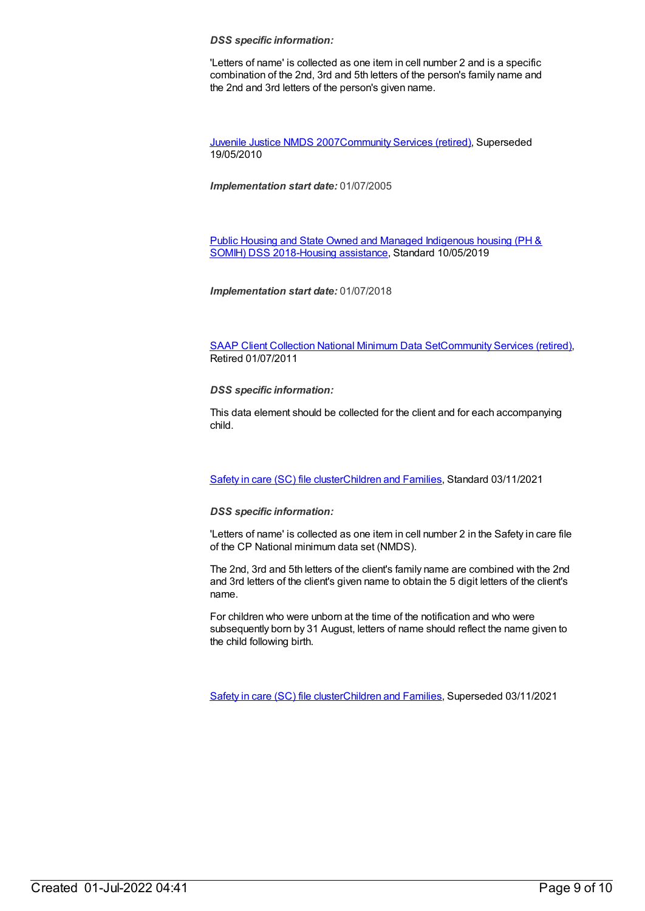#### *DSS specific information:*

'Letters of name' is collected as one item in cell number 2 and is a specific combination of the 2nd, 3rd and 5th letters of the person's family name and the 2nd and 3rd letters of the person's given name.

[Juvenile](https://meteor.aihw.gov.au/content/314122) Justice NMDS 200[7Community](https://meteor.aihw.gov.au/RegistrationAuthority/1) Services (retired), Superseded 19/05/2010

*Implementation start date:* 01/07/2005

Public Housing and State Owned and Managed Indigenous housing (PH & SOMIH) DSS [2018-Housing](https://meteor.aihw.gov.au/content/711016) [assistance](https://meteor.aihw.gov.au/RegistrationAuthority/11), Standard 10/05/2019

*Implementation start date:* 01/07/2018

SAAP Client [Collection](https://meteor.aihw.gov.au/content/339019) National Minimum Data Se[tCommunity](https://meteor.aihw.gov.au/RegistrationAuthority/1) Services (retired), Retired 01/07/2011

*DSS specific information:*

This data element should be collected for the client and for each accompanying child.

[Safety](https://meteor.aihw.gov.au/content/748884) in care (SC) file cluste[rChildren](https://meteor.aihw.gov.au/RegistrationAuthority/17) and Families, Standard 03/11/2021

#### *DSS specific information:*

'Letters of name' is collected as one item in cell number 2 in the Safety in care file of the CP National minimum data set (NMDS).

The 2nd, 3rd and 5th letters of the client's family name are combined with the 2nd and 3rd letters of the client's given name to obtain the 5 digit letters of the client's name.

For children who were unborn at the time of the notification and who were subsequently born by 31 August, letters of name should reflect the name given to the child following birth.

[Safety](https://meteor.aihw.gov.au/content/740182) in care (SC) file cluste[rChildren](https://meteor.aihw.gov.au/RegistrationAuthority/17) and Families, Superseded 03/11/2021